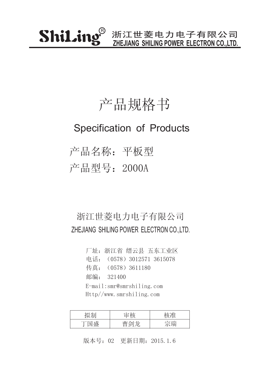### 产品规格书

#### Specification of Products

产品名称:平板型 产品型号:2000A

#### 浙江世菱电力电子有限公司 ZHEJIANG SHILING POWER ELECTRON CO.,LTD.

厂址:浙江省 缙云县 五东工业区 传真:(0578)3611180 邮编: 321400 电话:(0578)3012571 3615078 E-mail:smr@smrshiling.com Http//www.smrshiling.com

| 7 H⊤l                                         | 나눈    |    |
|-----------------------------------------------|-------|----|
| 一心<br>$\overline{\phantom{a}}$<br>┯<br>علىلىك | $\pm$ | 今理 |

版本号:02 更新日期:2015.1.6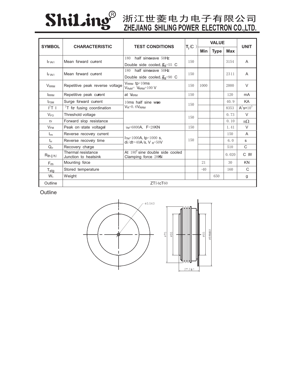

# **ZHEJIANG SHILING POWER ELECTRON CO.,LTD.**

| <b>SYMBOL</b>           | <b>CHARACTERISTIC</b>                      | <b>TEST CONDITIONS</b>                                          | $T_j$ (C | <b>VALUE</b> |             |            | <b>UNIT</b>                        |
|-------------------------|--------------------------------------------|-----------------------------------------------------------------|----------|--------------|-------------|------------|------------------------------------|
|                         |                                            |                                                                 |          | Min          | <b>Type</b> | <b>Max</b> |                                    |
| $I_{F(AV)}$             | Mean forward current                       | half sinewave 50Hz<br>180                                       | 150      |              |             | 3154       | $\overline{A}$                     |
|                         |                                            | Double side cooled, $\overline{H}_s$ =55 C                      |          |              |             |            |                                    |
| $I_F (AV)$              | Mean forward current                       | 180 half sinewave 50Hz                                          | 150      |              |             | 2311       | A                                  |
|                         |                                            | Double side cooled, $\overline{H}_S$ =90 C                      |          |              |             |            |                                    |
| <b>V</b> <sub>RRM</sub> | Repetitive peak reverse voltage            | $V_{RRM}$ tp=10ms<br>$V_{\text{RsM}}$ = $V_{\text{RRM}}$ +100 V | 150      | 1000         |             | 2000       | V                                  |
| <b>IRRM</b>             | Repetitive peak curent                     | at VRRM                                                         | 150      |              |             | 120        | mA                                 |
| <b>IFSM</b>             | Surge forward current                      | 10ms half sine wae<br>$V_R = 0.6V_{RRM}$                        | 150      |              |             | 40.9       | KA                                 |
| $I^2T$ 1                | $2T$ for fusing coordination               |                                                                 |          |              |             | 8353       | $\overline{A}^2$ s*10 <sup>3</sup> |
| $V_{FQ}$                | Threshold voltage                          |                                                                 | 150      |              |             | 0.73       | $\vee$                             |
| $r_F$                   | Forward slop resistance                    |                                                                 |          |              |             | 0.10       | $m\Omega$                          |
| $V_{FM}$                | Peak on-state voltagel                     | $TM=6800A$ , F=28KN                                             | 150      |              |             | 1.41       | $\vee$                             |
| $I_{rm}$                | Reverse recovery current                   | $ITM=1000A$ , tp=1000 s,<br>$di/dt = 40A/s$ , V R=50V           | 150      |              |             | 150        | $\overline{A}$                     |
| $t_{rr}$                | Reverse recovery time                      |                                                                 |          |              |             | 6.0        | S                                  |
| $Q_{rr}$                | Recovery charge                            |                                                                 |          |              |             | 510        | $\mathsf{C}$                       |
| $R_{th}(\phi+h)$        | Thermal resistance<br>Junction to heatsink | At $180^0$ sine double side cooled<br>Clamping force 28KN       |          |              |             | 0.020      | C W                                |
| F <sub>m</sub>          | Mounting face                              |                                                                 |          | 21           |             | 30         | KN                                 |
| $T_{\text{stg}}$        | Stored temperature                         |                                                                 |          | $-40$        |             | 160        | C                                  |
| $W_t$                   | Weight                                     |                                                                 |          |              | 650         |            | g                                  |
| Outline                 |                                            | ZT54cT60                                                        |          |              |             |            |                                    |

**Outline**